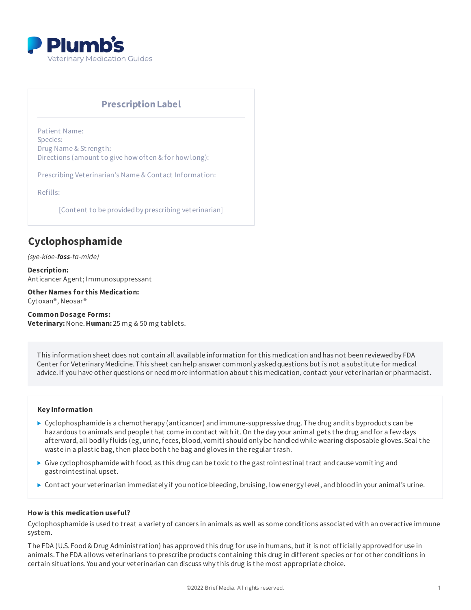

# **PrescriptionLabel**

Patient Name: Species: Drug Name & Strength: Directions (amount to give how often & for how long):

Prescribing Veterinarian's Name & Contact Information:

Refills:

[Content to be provided by prescribing veterinarian]

# **Cyclophosphamide**

*(sye-kloe-foss-fa-mide)*

**Description:** Anticancer Agent; Immunosuppressant

**OtherNames forthis Medication:** Cytoxan®, Neosar®

**Common Dosage Forms: Veterinary:**None.**Human:** 25 mg & 50 mg tablets.

This information sheet does not contain all available information for this medication and has not been reviewed by FDA Center for Veterinary Medicine. This sheet can help answer commonly asked questions but is not a substitute for medical advice.If you have other questions or needmore information about this medication, contact your veterinarian or pharmacist.

#### **Key Information**

- ► Cyclophosphamide is a chemotherapy (anticancer) and immune-suppressive drug. The drug and its byproducts can be hazardous to animals and people that come in contact with it. On the day your animal gets the drug and for a few days afterward, all bodily fluids (eg, urine, feces, blood, vomit) shouldonly be handledwhile wearing disposable gloves.Seal the waste in a plastic bag, then place both the bag andgloves in the regular trash.
- $\triangleright$  Give cyclophosphamide with food, as this drug can be toxic to the gastrointestinal tract and cause vomiting and gastrointestinal upset.
- Contact your veterinarian immediately if you notice bleeding, bruising, low energy level, andbloodin your animal's urine.

### **How is this medication useful?**

Cyclophosphamide is usedto treat a variety of cancers in animals as well as some conditions associatedwith an overactive immune system.

The FDA (U.S. Food& Drug Administration) has approvedthis drug for use in humans, but it is not officially approvedfor use in animals.The FDA allows veterinarians to prescribe products containing this drug in different species or for other conditions in certain situations. You andyour veterinarian can discuss why this drug is the most appropriate choice.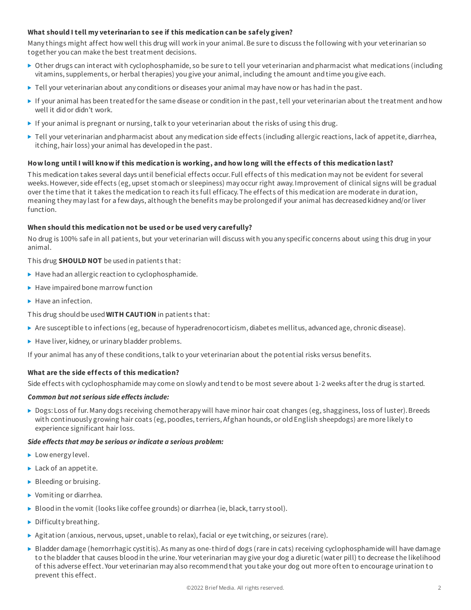# **What should I tell my veterinarian to see if this medication can be safely given?**

Many things might affect how well this drug will work in your animal.Be sure to discuss the following with your veterinarian so together you can make the best treatment decisions.

- ▶ Other drugs can interact with cyclophosphamide, so be sure to tell your veterinarian and pharmacist what medications (including vitamins, supplements, or herbal therapies) you give your animal, including the amount andtime you give each.
- $\blacktriangleright$  Tell your veterinarian about any conditions or diseases your animal may have now or has had in the past.
- If your animal has been treatedfor the same disease or condition in the past, tell your veterinarian about the treatment andhow well it didor didn't work.
- If your animal is pregnant or nursing, talk to your veterinarian about the risks of using this drug.
- $\blacktriangleright$  Tell your veterinarian and pharmacist about any medication side effects (including allergic reactions, lack of appetite, diarrhea, itching, hair loss) your animal has developedin the past.

# How long until I will know if this medication is working, and how long will the effects of this medication last?

This medication takes several days until beneficial effects occur. Full effects of this medication may not be evident for several weeks.However, side effects (eg, upset stomach or sleepiness) may occur right away.Improvement of clinical signs will be gradual over the time that it takes the medication to reach its full efficacy.The effects of this medication are moderate in duration, meaning they may last for a few days, although the benefits may be prolongedif your animal has decreasedkidney and/or liver function.

#### **When should this medication not be used or be used very carefully?**

No drug is 100% safe in all patients, but your veterinarian will discuss with you any specific concerns about using this drug in your animal.

This drug **SHOULD NOT** be usedin patients that:

- $\blacktriangleright$  Have had an allergic reaction to cyclophosphamide.
- $\blacktriangleright$  Have impaired bone marrow function
- $\blacktriangleright$  Have an infection.

This drug shouldbe used**WITH CAUTION** in patients that:

- ▶ Are susceptible to infections (eg, because of hyperadrenocorticism, diabetes mellitus, advanced age, chronic disease).
- $\blacktriangleright$  Have liver, kidney, or urinary bladder problems.

If your animal has any of these conditions, talk to your veterinarian about the potential risks versus benefits.

# **What are the side effects of this medication?**

Side effects with cyclophosphamide may come on slowly andtendto be most severe about 1-2 weeks after the drug is started.

#### *Common but not serious side effects include:*

▶ Dogs: Loss of fur. Many dogs receiving chemotherapy will have minor hair coat changes (eg, shagginess, loss of luster). Breeds with continuously growing hair coats (eg, poodles, terriers, Afghan hounds, or oldEnglish sheepdogs) are more likely to experience significant hair loss.

#### *Side effects that may be serious orindicate a serious problem:*

- Low energy level.
- ▶ Lack of an appetite.
- Bleeding or bruising.
- ▶ Vomiting or diarrhea.
- Blood in the vomit (looks like coffee grounds) or diarrhea (ie, black, tarry stool).
- $\triangleright$  Difficulty breathing.
- $\triangleright$  Agitation (anxious, nervous, upset, unable to relax), facial or eye twitching, or seizures (rare).
- $\triangleright$  Bladder damage (hemorrhagic cystitis). As many as one-third of dogs (rare in cats) receiving cyclophosphamide will have damage to the bladder that causes bloodin the urine. Your veterinarian may give your dog a diuretic (water pill) to decrease the likelihood of this adverse effect. Your veterinarian may also recommendthat you take your dog out more often to encourage urination to prevent this effect.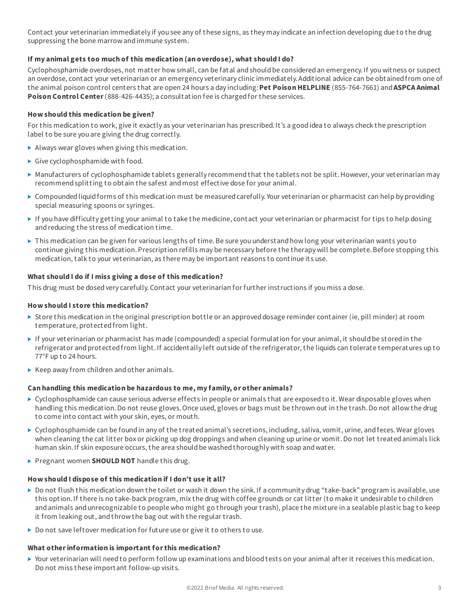Contact your veterinarian immediately if you see any of these signs, as they may indicate an infection developing due to the drug suppressing the bone marrow andimmune system.

# **If my animal gets too much of this medication (an overdose), what should I do?**

Cyclophosphamide overdoses, not matter how small, can be fatal and should be considered an emergency. If you witness or suspect an overdose, contact your veterinarian or an emergency veterinary clinic immediately.Additional advice can be obtainedfrom one of the animal poison control centers that are open 24 hours a day including:**Pet Poison HELPLINE** (855-764-7661) and**ASPCA Animal Poison Control Center**(888-426-4435); a consultation fee is chargedfor these services.

# **How should this medication be given?**

For this medication to work, give it exactly as your veterinarian has prescribed.It's a goodidea to always check the prescription label to be sure you are giving the drug correctly.

- Always wear gloves when giving this medication.
- Give cyclophosphamide with food.
- $\blacktriangleright$  Manufacturers of cyclophosphamide tablets generally recommend that the tablets not be split. However, your veterinarian may recommendsplitting to obtain the safest andmost effective dose for your animal.
- $\triangleright$  Compounded liquid forms of this medication must be measured carefully. Your veterinarian or pharmacist can help by providing special measuring spoons or syringes.
- If you have difficulty getting your animal to take the medicine, contact your veterinarian or pharmacist for tips to help dosing and reducing the stress of medication time.
- ▶ This medication can be given for various lengths of time. Be sure you understand how long your veterinarian wants you to continue giving this medication. Prescription refills may be necessary before the therapy will be complete. Before stopping this medication, talk to your veterinarian, as there may be important reasons to continue its use.

#### **What should I do if I miss giving a dose of this medication?**

This drug must be dosedvery carefully.Contact your veterinarian for further instructions if you miss a dose.

#### **How should I store this medication?**

- Store this medication in the original prescription bottle or an approved dosage reminder container (ie, pill minder) at room temperature, protectedfrom light.
- If your veterinarian or pharmacist has made (compounded) a special formulation for your animal, it shouldbe storedin the refrigerator andprotectedfrom light.If accidentally left outside of the refrigerator, the liquids can tolerate temperatures up to 77°F up to 24 hours.
- $\blacktriangleright$  Keep away from children and other animals.

# **Can handling this medication be hazardous to me, my family, or other animals?**

- $\triangleright$  Cyclophosphamide can cause serious adverse effects in people or animals that are exposed to it. Wear disposable gloves when handling this medication.Do not reuse gloves.Once used, gloves or bags must be thrown out in the trash.Do not allow the drug to come into contact with your skin, eyes, or mouth.
- $\triangleright$  Cyclophosphamide can be found in any of the treated animal's secretions, including, saliva, vomit, urine, and feces. Wear gloves when cleaning the cat litter box or picking up dog droppings andwhen cleaning up urine or vomit.Do not let treatedanimals lick human skin. If skin exposure occurs, the area should be washed thoroughly with soap and water.
- ▶ Pregnant women **SHOULD NOT** handle this drug.

#### **How should I dispose of this medication if I don't use it all?**

- ▶ Do not flush this medication down the toilet or wash it down the sink. If a community drug "take-back" program is available, use this option.If there is no take-back program, mix the drug with coffee grounds or cat litter (to make it undesirable to children andanimals andunrecognizable to people who might go through your trash), place the mixture in a sealable plastic bag to keep it from leaking out, andthrow the bag out with the regular trash.
- Do not save leftover medication for future use or give it to others to use.

#### **What otherinformation is important forthis medication?**

▶ Your veterinarian will need to perform follow up examinations and blood tests on your animal after it receives this medication. Do not miss these important follow-up visits.